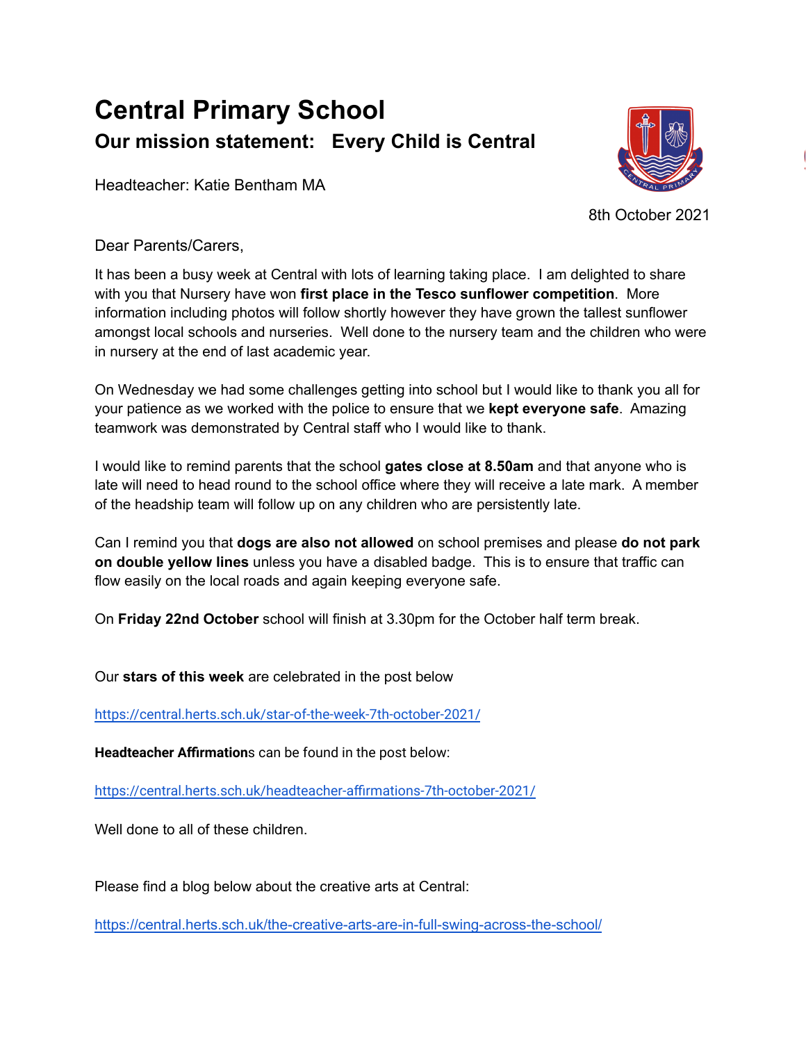## **Central Primary School Our mission statement: Every Child is Central**

Headteacher: Katie Bentham MA



8th October 2021

Dear Parents/Carers,

It has been a busy week at Central with lots of learning taking place. I am delighted to share with you that Nursery have won **first place in the Tesco sunflower competition**. More information including photos will follow shortly however they have grown the tallest sunflower amongst local schools and nurseries. Well done to the nursery team and the children who were in nursery at the end of last academic year.

On Wednesday we had some challenges getting into school but I would like to thank you all for your patience as we worked with the police to ensure that we **kept everyone safe**. Amazing teamwork was demonstrated by Central staff who I would like to thank.

I would like to remind parents that the school **gates close at 8.50am** and that anyone who is late will need to head round to the school office where they will receive a late mark. A member of the headship team will follow up on any children who are persistently late.

Can I remind you that **dogs are also not allowed** on school premises and please **do not park on double yellow lines** unless you have a disabled badge. This is to ensure that traffic can flow easily on the local roads and again keeping everyone safe.

On **Friday 22nd October** school will finish at 3.30pm for the October half term break.

Our **stars of this week** are celebrated in the post below

<https://central.herts.sch.uk/star-of-the-week-7th-october-2021/>

**Headteacher Affirmation**s can be found in the post below:

<https://central.herts.sch.uk/headteacher-affirmations-7th-october-2021/>

Well done to all of these children.

Please find a blog below about the creative arts at Central:

<https://central.herts.sch.uk/the-creative-arts-are-in-full-swing-across-the-school/>